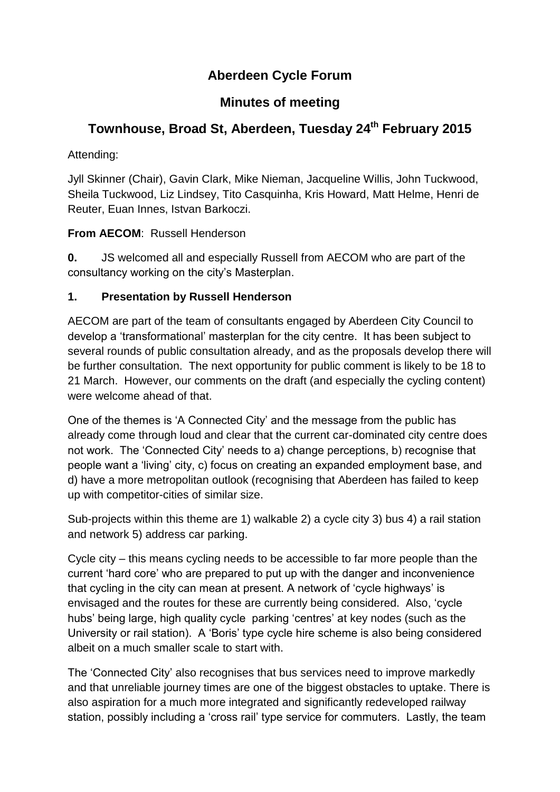# **Aberdeen Cycle Forum**

## **Minutes of meeting**

# **Townhouse, Broad St, Aberdeen, Tuesday 24 th February 2015**

Attending:

Jyll Skinner (Chair), Gavin Clark, Mike Nieman, Jacqueline Willis, John Tuckwood, Sheila Tuckwood, Liz Lindsey, Tito Casquinha, Kris Howard, Matt Helme, Henri de Reuter, Euan Innes, Istvan Barkoczi.

**From AECOM**: Russell Henderson

**0.** JS welcomed all and especially Russell from AECOM who are part of the consultancy working on the city's Masterplan.

## **1. Presentation by Russell Henderson**

AECOM are part of the team of consultants engaged by Aberdeen City Council to develop a 'transformational' masterplan for the city centre. It has been subject to several rounds of public consultation already, and as the proposals develop there will be further consultation. The next opportunity for public comment is likely to be 18 to 21 March. However, our comments on the draft (and especially the cycling content) were welcome ahead of that.

One of the themes is 'A Connected City' and the message from the public has already come through loud and clear that the current car-dominated city centre does not work. The 'Connected City' needs to a) change perceptions, b) recognise that people want a 'living' city, c) focus on creating an expanded employment base, and d) have a more metropolitan outlook (recognising that Aberdeen has failed to keep up with competitor-cities of similar size.

Sub-projects within this theme are 1) walkable 2) a cycle city 3) bus 4) a rail station and network 5) address car parking.

Cycle city – this means cycling needs to be accessible to far more people than the current 'hard core' who are prepared to put up with the danger and inconvenience that cycling in the city can mean at present. A network of 'cycle highways' is envisaged and the routes for these are currently being considered. Also, 'cycle hubs' being large, high quality cycle parking 'centres' at key nodes (such as the University or rail station). A 'Boris' type cycle hire scheme is also being considered albeit on a much smaller scale to start with.

The 'Connected City' also recognises that bus services need to improve markedly and that unreliable journey times are one of the biggest obstacles to uptake. There is also aspiration for a much more integrated and significantly redeveloped railway station, possibly including a 'cross rail' type service for commuters. Lastly, the team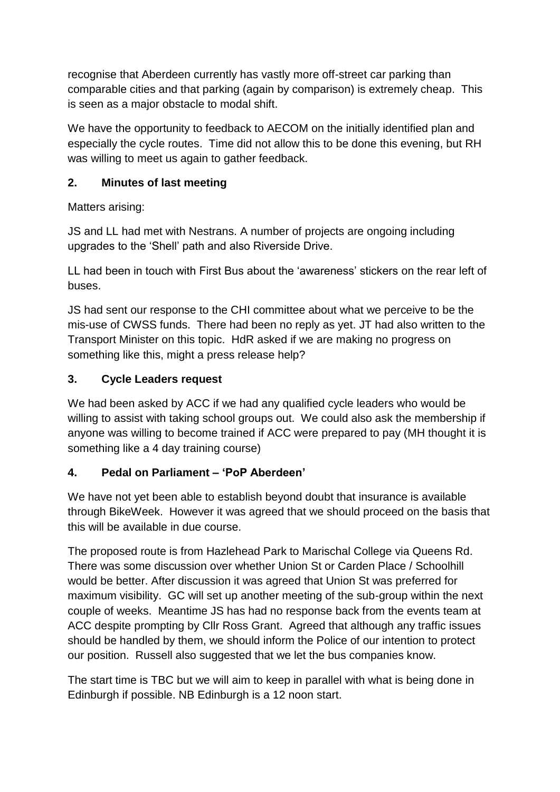recognise that Aberdeen currently has vastly more off-street car parking than comparable cities and that parking (again by comparison) is extremely cheap. This is seen as a major obstacle to modal shift.

We have the opportunity to feedback to AECOM on the initially identified plan and especially the cycle routes. Time did not allow this to be done this evening, but RH was willing to meet us again to gather feedback.

#### **2. Minutes of last meeting**

Matters arising:

JS and LL had met with Nestrans. A number of projects are ongoing including upgrades to the 'Shell' path and also Riverside Drive.

LL had been in touch with First Bus about the 'awareness' stickers on the rear left of buses.

JS had sent our response to the CHI committee about what we perceive to be the mis-use of CWSS funds. There had been no reply as yet. JT had also written to the Transport Minister on this topic. HdR asked if we are making no progress on something like this, might a press release help?

## **3. Cycle Leaders request**

We had been asked by ACC if we had any qualified cycle leaders who would be willing to assist with taking school groups out. We could also ask the membership if anyone was willing to become trained if ACC were prepared to pay (MH thought it is something like a 4 day training course)

## **4. Pedal on Parliament – 'PoP Aberdeen'**

We have not yet been able to establish beyond doubt that insurance is available through BikeWeek. However it was agreed that we should proceed on the basis that this will be available in due course.

The proposed route is from Hazlehead Park to Marischal College via Queens Rd. There was some discussion over whether Union St or Carden Place / Schoolhill would be better. After discussion it was agreed that Union St was preferred for maximum visibility. GC will set up another meeting of the sub-group within the next couple of weeks. Meantime JS has had no response back from the events team at ACC despite prompting by Cllr Ross Grant. Agreed that although any traffic issues should be handled by them, we should inform the Police of our intention to protect our position. Russell also suggested that we let the bus companies know.

The start time is TBC but we will aim to keep in parallel with what is being done in Edinburgh if possible. NB Edinburgh is a 12 noon start.